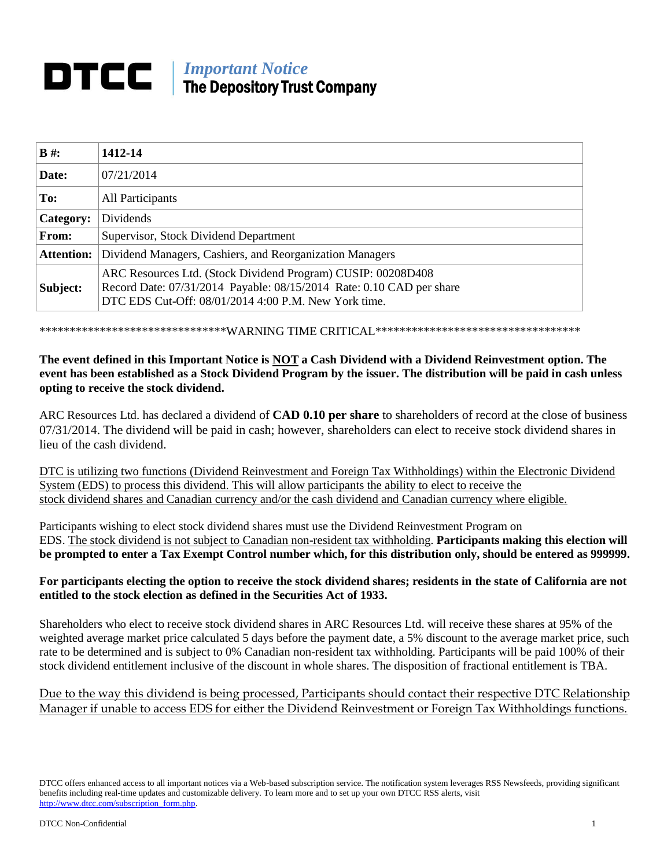# **IMPortant Notice** The Depository Trust Company

| $B \#$ :          | 1412-14                                                                                                                                                                                      |
|-------------------|----------------------------------------------------------------------------------------------------------------------------------------------------------------------------------------------|
| Date:             | 07/21/2014                                                                                                                                                                                   |
| To:               | All Participants                                                                                                                                                                             |
| Category:         | Dividends                                                                                                                                                                                    |
| From:             | Supervisor, Stock Dividend Department                                                                                                                                                        |
| <b>Attention:</b> | Dividend Managers, Cashiers, and Reorganization Managers                                                                                                                                     |
| Subject:          | ARC Resources Ltd. (Stock Dividend Program) CUSIP: 00208D408<br>Record Date: 07/31/2014 Payable: 08/15/2014 Rate: 0.10 CAD per share<br>DTC EDS Cut-Off: 08/01/2014 4:00 P.M. New York time. |

\*\*\*\*\*\*\*\*\*\*\*\*\*\*\*\*\*\*\*\*\*\*\*\*\*\*\*\*\*\*\*WARNING TIME CRITICAL\*\*\*\*\*\*\*\*\*\*\*\*\*\*\*\*\*\*\*\*\*\*\*\*\*\*\*\*\*\*\*\*\*\*

## **The event defined in this Important Notice is NOT a Cash Dividend with a Dividend Reinvestment option. The event has been established as a Stock Dividend Program by the issuer. The distribution will be paid in cash unless opting to receive the stock dividend.**

ARC Resources Ltd. has declared a dividend of **CAD 0.10 per share** to shareholders of record at the close of business 07/31/2014. The dividend will be paid in cash; however, shareholders can elect to receive stock dividend shares in lieu of the cash dividend.

DTC is utilizing two functions (Dividend Reinvestment and Foreign Tax Withholdings) within the Electronic Dividend System (EDS) to process this dividend. This will allow participants the ability to elect to receive the stock dividend shares and Canadian currency and/or the cash dividend and Canadian currency where eligible.

Participants wishing to elect stock dividend shares must use the Dividend Reinvestment Program on EDS. The stock dividend is not subject to Canadian non-resident tax withholding. **Participants making this election will be prompted to enter a Tax Exempt Control number which, for this distribution only, should be entered as 999999.**

### **For participants electing the option to receive the stock dividend shares; residents in the state of California are not entitled to the stock election as defined in the Securities Act of 1933.**

Shareholders who elect to receive stock dividend shares in ARC Resources Ltd. will receive these shares at 95% of the weighted average market price calculated 5 days before the payment date, a 5% discount to the average market price, such rate to be determined and is subject to 0% Canadian non-resident tax withholding. Participants will be paid 100% of their stock dividend entitlement inclusive of the discount in whole shares. The disposition of fractional entitlement is TBA.

# Due to the way this dividend is being processed, Participants should contact their respective DTC Relationship Manager if unable to access EDS for either the Dividend Reinvestment or Foreign Tax Withholdings functions.

DTCC offers enhanced access to all important notices via a Web-based subscription service. The notification system leverages RSS Newsfeeds, providing significant benefits including real-time updates and customizable delivery. To learn more and to set up your own DTCC RSS alerts, visit http://www.dtcc.com/subscription\_form.php.